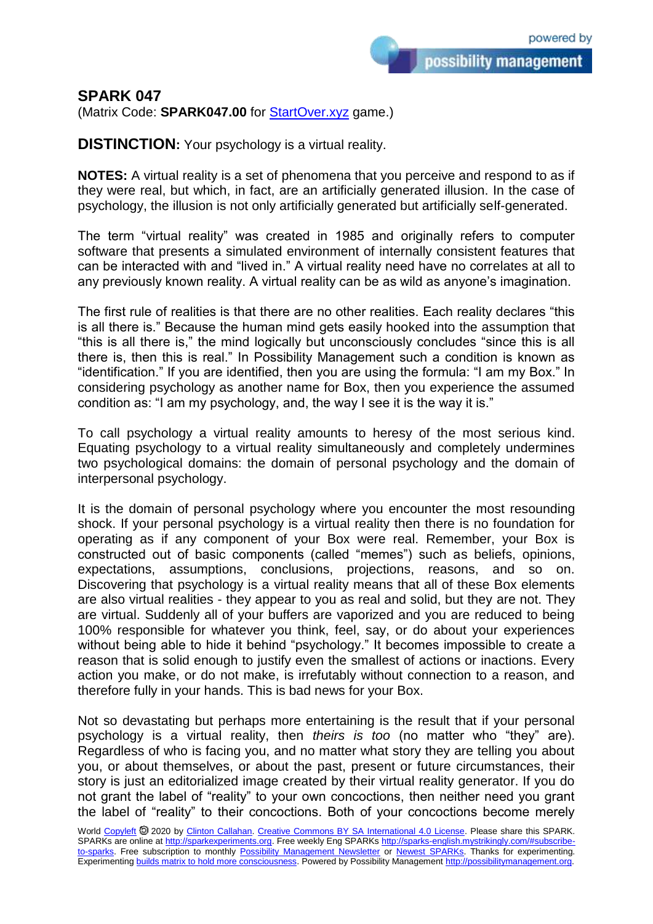possibility management

## **SPARK 047**

(Matrix Code: **SPARK047.00** for **StartOver.xyz** game.)

**DISTINCTION:** Your psychology is a virtual reality.

**NOTES:** A virtual reality is a set of phenomena that you perceive and respond to as if they were real, but which, in fact, are an artificially generated illusion. In the case of psychology, the illusion is not only artificially generated but artificially self-generated.

The term "virtual reality" was created in 1985 and originally refers to computer software that presents a simulated environment of internally consistent features that can be interacted with and "lived in." A virtual reality need have no correlates at all to any previously known reality. A virtual reality can be as wild as anyone's imagination.

The first rule of realities is that there are no other realities. Each reality declares "this is all there is." Because the human mind gets easily hooked into the assumption that "this is all there is," the mind logically but unconsciously concludes "since this is all there is, then this is real." In Possibility Management such a condition is known as "identification." If you are identified, then you are using the formula: "I am my Box." In considering psychology as another name for Box, then you experience the assumed condition as: "I am my psychology, and, the way I see it is the way it is."

To call psychology a virtual reality amounts to heresy of the most serious kind. Equating psychology to a virtual reality simultaneously and completely undermines two psychological domains: the domain of personal psychology and the domain of interpersonal psychology.

It is the domain of personal psychology where you encounter the most resounding shock. If your personal psychology is a virtual reality then there is no foundation for operating as if any component of your Box were real. Remember, your Box is constructed out of basic components (called "memes") such as beliefs, opinions, expectations, assumptions, conclusions, projections, reasons, and so on. Discovering that psychology is a virtual reality means that all of these Box elements are also virtual realities - they appear to you as real and solid, but they are not. They are virtual. Suddenly all of your buffers are vaporized and you are reduced to being 100% responsible for whatever you think, feel, say, or do about your experiences without being able to hide it behind "psychology." It becomes impossible to create a reason that is solid enough to justify even the smallest of actions or inactions. Every action you make, or do not make, is irrefutably without connection to a reason, and therefore fully in your hands. This is bad news for your Box.

Not so devastating but perhaps more entertaining is the result that if your personal psychology is a virtual reality, then *theirs is too* (no matter who "they" are). Regardless of who is facing you, and no matter what story they are telling you about you, or about themselves, or about the past, present or future circumstances, their story is just an editorialized image created by their virtual reality generator. If you do not grant the label of "reality" to your own concoctions, then neither need you grant the label of "reality" to their concoctions. Both of your concoctions become merely